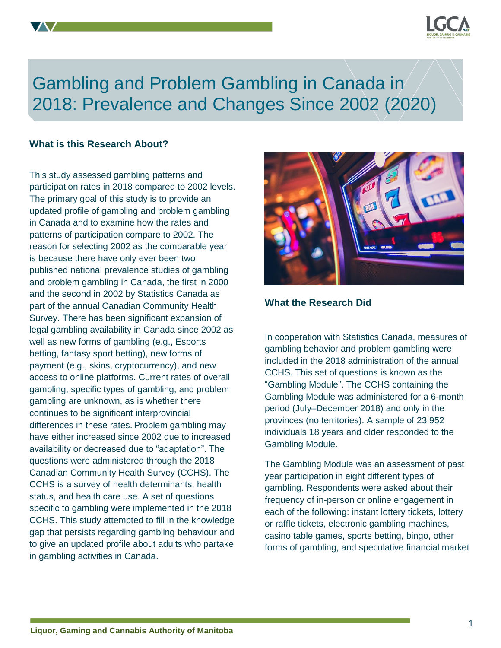

# Gambling and Problem Gambling in Canada in Algorithm 2018: Prevalence and Changes Since 2002 (2020).

## **What is this Research About?**

This study assessed gambling patterns and participation rates in 2018 compared to 2002 levels. The primary goal of this study is to provide an updated profile of gambling and problem gambling in Canada and to examine how the rates and patterns of participation compare to 2002. The reason for selecting 2002 as the comparable year is because there have only ever been two published national prevalence studies of gambling and problem gambling in Canada, the first in 2000 and the second in 2002 by Statistics Canada as part of the annual Canadian Community Health Survey. There has been significant expansion of legal gambling availability in Canada since 2002 as well as new forms of gambling (e.g., Esports betting, fantasy sport betting), new forms of payment (e.g., skins, cryptocurrency), and new access to online platforms. Current rates of overall gambling, specific types of gambling, and problem gambling are unknown, as is whether there continues to be significant interprovincial differences in these rates. Problem gambling may have either increased since 2002 due to increased availability or decreased due to "adaptation". The questions were administered through the 2018 Canadian Community Health Survey (CCHS). The CCHS is a survey of health determinants, health status, and health care use. A set of questions specific to gambling were implemented in the 2018 CCHS. This study attempted to fill in the knowledge gap that persists regarding gambling behaviour and to give an updated profile about adults who partake in gambling activities in Canada.



# **What the Research Did**

In cooperation with Statistics Canada, measures of gambling behavior and problem gambling were included in the 2018 administration of the annual CCHS. This set of questions is known as the "Gambling Module". The CCHS containing the Gambling Module was administered for a 6-month period (July–December 2018) and only in the provinces (no territories). A sample of 23,952 individuals 18 years and older responded to the Gambling Module.

The Gambling Module was an assessment of past year participation in eight different types of gambling. Respondents were asked about their frequency of in-person or online engagement in each of the following: instant lottery tickets, lottery or raffle tickets, electronic gambling machines, casino table games, sports betting, bingo, other forms of gambling, and speculative financial market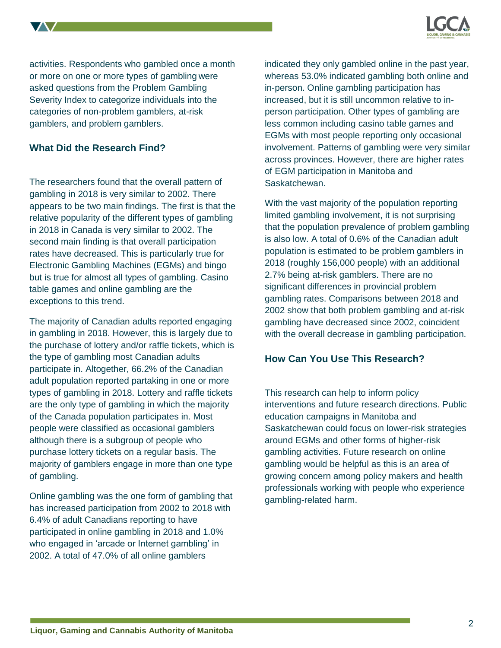

activities. Respondents who gambled once a month or more on one or more types of gambling were asked questions from the Problem Gambling Severity Index to categorize individuals into the categories of non-problem gamblers, at-risk gamblers, and problem gamblers.

## **What Did the Research Find?**

The researchers found that the overall pattern of gambling in 2018 is very similar to 2002. There appears to be two main findings. The first is that the relative popularity of the different types of gambling in 2018 in Canada is very similar to 2002. The second main finding is that overall participation rates have decreased. This is particularly true for Electronic Gambling Machines (EGMs) and bingo but is true for almost all types of gambling. Casino table games and online gambling are the exceptions to this trend.

The majority of Canadian adults reported engaging in gambling in 2018. However, this is largely due to the purchase of lottery and/or raffle tickets, which is the type of gambling most Canadian adults participate in. Altogether, 66.2% of the Canadian adult population reported partaking in one or more types of gambling in 2018. Lottery and raffle tickets are the only type of gambling in which the majority of the Canada population participates in. Most people were classified as occasional gamblers although there is a subgroup of people who purchase lottery tickets on a regular basis. The majority of gamblers engage in more than one type of gambling.

Online gambling was the one form of gambling that has increased participation from 2002 to 2018 with 6.4% of adult Canadians reporting to have participated in online gambling in 2018 and 1.0% who engaged in 'arcade or Internet gambling' in 2002. A total of 47.0% of all online gamblers

indicated they only gambled online in the past year, whereas 53.0% indicated gambling both online and in-person. Online gambling participation has increased, but it is still uncommon relative to inperson participation. Other types of gambling are less common including casino table games and EGMs with most people reporting only occasional involvement. Patterns of gambling were very similar across provinces. However, there are higher rates of EGM participation in Manitoba and Saskatchewan.

With the vast majority of the population reporting limited gambling involvement, it is not surprising that the population prevalence of problem gambling is also low. A total of 0.6% of the Canadian adult population is estimated to be problem gamblers in 2018 (roughly 156,000 people) with an additional 2.7% being at-risk gamblers. There are no significant differences in provincial problem gambling rates. Comparisons between 2018 and 2002 show that both problem gambling and at-risk gambling have decreased since 2002, coincident with the overall decrease in gambling participation.

#### **How Can You Use This Research?**

This research can help to inform policy interventions and future research directions. Public education campaigns in Manitoba and Saskatchewan could focus on lower-risk strategies around EGMs and other forms of higher-risk gambling activities. Future research on online gambling would be helpful as this is an area of growing concern among policy makers and health professionals working with people who experience gambling-related harm.